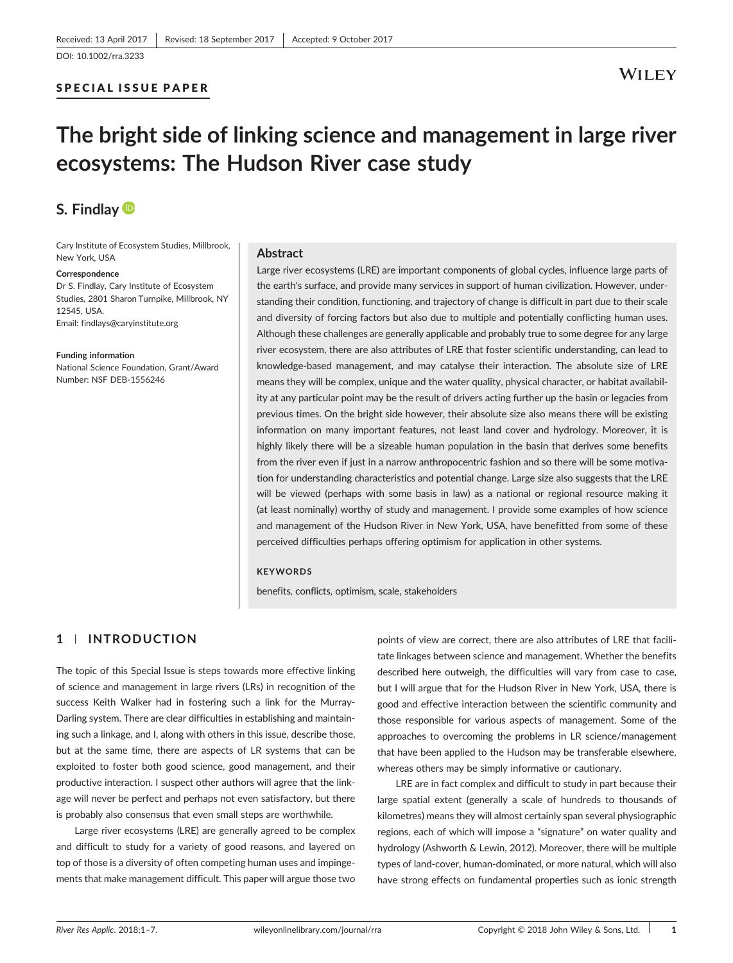## SPECIAL ISSUE PAPER

# **WILEY**

# The bright side of linking science and management in large river ecosystems: The Hudson River case study

## S. Findlay

Cary Institute of Ecosystem Studies, Millbrook, New York, USA

## Correspondence

Dr S. Findlay, Cary Institute of Ecosystem Studies, 2801 Sharon Turnpike, Millbrook, NY 12545, USA. Email: [findlays@caryinstitute.org](mailto:findlays@caryinstitute.org)

#### Funding information

National Science Foundation, Grant/Award Number: NSF DEB‐1556246

## Abstract

Large river ecosystems (LRE) are important components of global cycles, influence large parts of the earth's surface, and provide many services in support of human civilization. However, understanding their condition, functioning, and trajectory of change is difficult in part due to their scale and diversity of forcing factors but also due to multiple and potentially conflicting human uses. Although these challenges are generally applicable and probably true to some degree for any large river ecosystem, there are also attributes of LRE that foster scientific understanding, can lead to knowledge‐based management, and may catalyse their interaction. The absolute size of LRE means they will be complex, unique and the water quality, physical character, or habitat availability at any particular point may be the result of drivers acting further up the basin or legacies from previous times. On the bright side however, their absolute size also means there will be existing information on many important features, not least land cover and hydrology. Moreover, it is highly likely there will be a sizeable human population in the basin that derives some benefits from the river even if just in a narrow anthropocentric fashion and so there will be some motivation for understanding characteristics and potential change. Large size also suggests that the LRE will be viewed (perhaps with some basis in law) as a national or regional resource making it (at least nominally) worthy of study and management. I provide some examples of how science and management of the Hudson River in New York, USA, have benefitted from some of these perceived difficulties perhaps offering optimism for application in other systems.

## **KEYWORDS**

benefits, conflicts, optimism, scale, stakeholders

## 1 | INTRODUCTION

The topic of this Special Issue is steps towards more effective linking of science and management in large rivers (LRs) in recognition of the success Keith Walker had in fostering such a link for the Murray‐ Darling system. There are clear difficulties in establishing and maintaining such a linkage, and I, along with others in this issue, describe those, but at the same time, there are aspects of LR systems that can be exploited to foster both good science, good management, and their productive interaction. I suspect other authors will agree that the linkage will never be perfect and perhaps not even satisfactory, but there is probably also consensus that even small steps are worthwhile.

Large river ecosystems (LRE) are generally agreed to be complex and difficult to study for a variety of good reasons, and layered on top of those is a diversity of often competing human uses and impingements that make management difficult. This paper will argue those two

points of view are correct, there are also attributes of LRE that facilitate linkages between science and management. Whether the benefits described here outweigh, the difficulties will vary from case to case, but I will argue that for the Hudson River in New York, USA, there is good and effective interaction between the scientific community and those responsible for various aspects of management. Some of the approaches to overcoming the problems in LR science/management that have been applied to the Hudson may be transferable elsewhere, whereas others may be simply informative or cautionary.

LRE are in fact complex and difficult to study in part because their large spatial extent (generally a scale of hundreds to thousands of kilometres) means they will almost certainly span several physiographic regions, each of which will impose a "signature" on water quality and hydrology (Ashworth & Lewin, 2012). Moreover, there will be multiple types of land‐cover, human‐dominated, or more natural, which will also have strong effects on fundamental properties such as ionic strength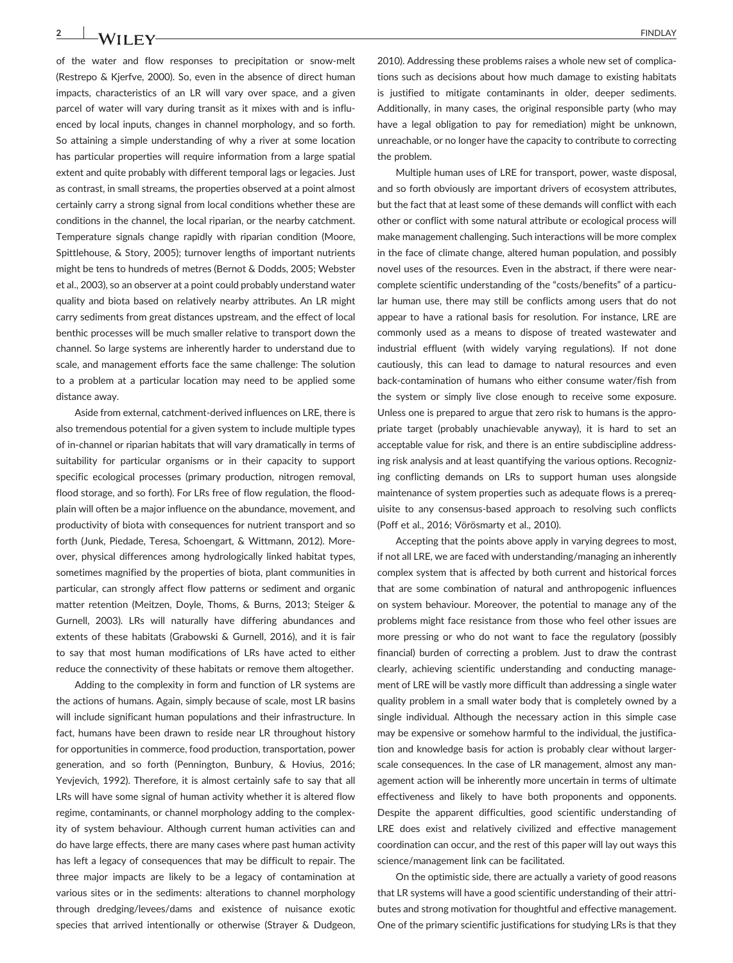of the water and flow responses to precipitation or snow‐melt (Restrepo & Kjerfve, 2000). So, even in the absence of direct human impacts, characteristics of an LR will vary over space, and a given parcel of water will vary during transit as it mixes with and is influenced by local inputs, changes in channel morphology, and so forth. So attaining a simple understanding of why a river at some location has particular properties will require information from a large spatial extent and quite probably with different temporal lags or legacies. Just as contrast, in small streams, the properties observed at a point almost certainly carry a strong signal from local conditions whether these are conditions in the channel, the local riparian, or the nearby catchment. Temperature signals change rapidly with riparian condition (Moore, Spittlehouse, & Story, 2005); turnover lengths of important nutrients might be tens to hundreds of metres (Bernot & Dodds, 2005; Webster et al., 2003), so an observer at a point could probably understand water quality and biota based on relatively nearby attributes. An LR might carry sediments from great distances upstream, and the effect of local benthic processes will be much smaller relative to transport down the channel. So large systems are inherently harder to understand due to scale, and management efforts face the same challenge: The solution to a problem at a particular location may need to be applied some distance away.

Aside from external, catchment‐derived influences on LRE, there is also tremendous potential for a given system to include multiple types of in-channel or riparian habitats that will vary dramatically in terms of suitability for particular organisms or in their capacity to support specific ecological processes (primary production, nitrogen removal, flood storage, and so forth). For LRs free of flow regulation, the floodplain will often be a major influence on the abundance, movement, and productivity of biota with consequences for nutrient transport and so forth (Junk, Piedade, Teresa, Schoengart, & Wittmann, 2012). Moreover, physical differences among hydrologically linked habitat types, sometimes magnified by the properties of biota, plant communities in particular, can strongly affect flow patterns or sediment and organic matter retention (Meitzen, Doyle, Thoms, & Burns, 2013; Steiger & Gurnell, 2003). LRs will naturally have differing abundances and extents of these habitats (Grabowski & Gurnell, 2016), and it is fair to say that most human modifications of LRs have acted to either reduce the connectivity of these habitats or remove them altogether.

Adding to the complexity in form and function of LR systems are the actions of humans. Again, simply because of scale, most LR basins will include significant human populations and their infrastructure. In fact, humans have been drawn to reside near LR throughout history for opportunities in commerce, food production, transportation, power generation, and so forth (Pennington, Bunbury, & Hovius, 2016; Yevjevich, 1992). Therefore, it is almost certainly safe to say that all LRs will have some signal of human activity whether it is altered flow regime, contaminants, or channel morphology adding to the complexity of system behaviour. Although current human activities can and do have large effects, there are many cases where past human activity has left a legacy of consequences that may be difficult to repair. The three major impacts are likely to be a legacy of contamination at various sites or in the sediments: alterations to channel morphology through dredging/levees/dams and existence of nuisance exotic species that arrived intentionally or otherwise (Strayer & Dudgeon,

2010). Addressing these problems raises a whole new set of complications such as decisions about how much damage to existing habitats is justified to mitigate contaminants in older, deeper sediments. Additionally, in many cases, the original responsible party (who may have a legal obligation to pay for remediation) might be unknown, unreachable, or no longer have the capacity to contribute to correcting the problem.

Multiple human uses of LRE for transport, power, waste disposal, and so forth obviously are important drivers of ecosystem attributes, but the fact that at least some of these demands will conflict with each other or conflict with some natural attribute or ecological process will make management challenging. Such interactions will be more complex in the face of climate change, altered human population, and possibly novel uses of the resources. Even in the abstract, if there were near‐ complete scientific understanding of the "costs/benefits" of a particular human use, there may still be conflicts among users that do not appear to have a rational basis for resolution. For instance, LRE are commonly used as a means to dispose of treated wastewater and industrial effluent (with widely varying regulations). If not done cautiously, this can lead to damage to natural resources and even back‐contamination of humans who either consume water/fish from the system or simply live close enough to receive some exposure. Unless one is prepared to argue that zero risk to humans is the appropriate target (probably unachievable anyway), it is hard to set an acceptable value for risk, and there is an entire subdiscipline addressing risk analysis and at least quantifying the various options. Recognizing conflicting demands on LRs to support human uses alongside maintenance of system properties such as adequate flows is a prerequisite to any consensus‐based approach to resolving such conflicts (Poff et al., 2016; Vörösmarty et al., 2010).

Accepting that the points above apply in varying degrees to most, if not all LRE, we are faced with understanding/managing an inherently complex system that is affected by both current and historical forces that are some combination of natural and anthropogenic influences on system behaviour. Moreover, the potential to manage any of the problems might face resistance from those who feel other issues are more pressing or who do not want to face the regulatory (possibly financial) burden of correcting a problem. Just to draw the contrast clearly, achieving scientific understanding and conducting management of LRE will be vastly more difficult than addressing a single water quality problem in a small water body that is completely owned by a single individual. Although the necessary action in this simple case may be expensive or somehow harmful to the individual, the justification and knowledge basis for action is probably clear without larger‐ scale consequences. In the case of LR management, almost any management action will be inherently more uncertain in terms of ultimate effectiveness and likely to have both proponents and opponents. Despite the apparent difficulties, good scientific understanding of LRE does exist and relatively civilized and effective management coordination can occur, and the rest of this paper will lay out ways this science/management link can be facilitated.

On the optimistic side, there are actually a variety of good reasons that LR systems will have a good scientific understanding of their attributes and strong motivation for thoughtful and effective management. One of the primary scientific justifications for studying LRs is that they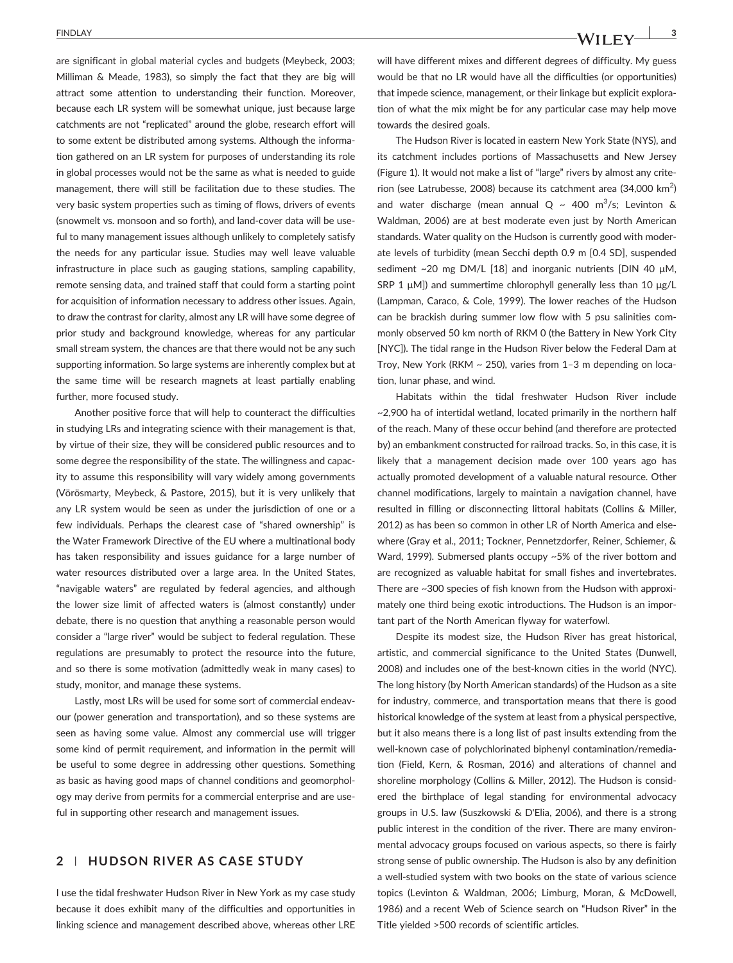are significant in global material cycles and budgets (Meybeck, 2003; Milliman & Meade, 1983), so simply the fact that they are big will attract some attention to understanding their function. Moreover, because each LR system will be somewhat unique, just because large catchments are not "replicated" around the globe, research effort will to some extent be distributed among systems. Although the information gathered on an LR system for purposes of understanding its role in global processes would not be the same as what is needed to guide management, there will still be facilitation due to these studies. The very basic system properties such as timing of flows, drivers of events (snowmelt vs. monsoon and so forth), and land‐cover data will be useful to many management issues although unlikely to completely satisfy the needs for any particular issue. Studies may well leave valuable infrastructure in place such as gauging stations, sampling capability, remote sensing data, and trained staff that could form a starting point for acquisition of information necessary to address other issues. Again, to draw the contrast for clarity, almost any LR will have some degree of prior study and background knowledge, whereas for any particular small stream system, the chances are that there would not be any such supporting information. So large systems are inherently complex but at the same time will be research magnets at least partially enabling further, more focused study.

Another positive force that will help to counteract the difficulties in studying LRs and integrating science with their management is that, by virtue of their size, they will be considered public resources and to some degree the responsibility of the state. The willingness and capacity to assume this responsibility will vary widely among governments (Vörösmarty, Meybeck, & Pastore, 2015), but it is very unlikely that any LR system would be seen as under the jurisdiction of one or a few individuals. Perhaps the clearest case of "shared ownership" is the Water Framework Directive of the EU where a multinational body has taken responsibility and issues guidance for a large number of water resources distributed over a large area. In the United States, "navigable waters" are regulated by federal agencies, and although the lower size limit of affected waters is (almost constantly) under debate, there is no question that anything a reasonable person would consider a "large river" would be subject to federal regulation. These regulations are presumably to protect the resource into the future, and so there is some motivation (admittedly weak in many cases) to study, monitor, and manage these systems.

Lastly, most LRs will be used for some sort of commercial endeavour (power generation and transportation), and so these systems are seen as having some value. Almost any commercial use will trigger some kind of permit requirement, and information in the permit will be useful to some degree in addressing other questions. Something as basic as having good maps of channel conditions and geomorphology may derive from permits for a commercial enterprise and are useful in supporting other research and management issues.

## 2 | HUDSON RIVER AS CASE STUDY

I use the tidal freshwater Hudson River in New York as my case study because it does exhibit many of the difficulties and opportunities in linking science and management described above, whereas other LRE will have different mixes and different degrees of difficulty. My guess would be that no LR would have all the difficulties (or opportunities) that impede science, management, or their linkage but explicit exploration of what the mix might be for any particular case may help move towards the desired goals.

The Hudson River is located in eastern New York State (NYS), and its catchment includes portions of Massachusetts and New Jersey (Figure 1). It would not make a list of "large" rivers by almost any criterion (see Latrubesse, 2008) because its catchment area (34,000 km<sup>2</sup>) and water discharge (mean annual  $Q \sim 400 \text{ m}^3\text{/s}$ ; Levinton & Waldman, 2006) are at best moderate even just by North American standards. Water quality on the Hudson is currently good with moderate levels of turbidity (mean Secchi depth 0.9 m [0.4 SD], suspended sediment ~20 mg DM/L [18] and inorganic nutrients [DIN 40 μM, SRP 1 μM]) and summertime chlorophyll generally less than 10 μg/L (Lampman, Caraco, & Cole, 1999). The lower reaches of the Hudson can be brackish during summer low flow with 5 psu salinities commonly observed 50 km north of RKM 0 (the Battery in New York City [NYC]). The tidal range in the Hudson River below the Federal Dam at Troy, New York (RKM ~ 250), varies from 1–3 m depending on location, lunar phase, and wind.

Habitats within the tidal freshwater Hudson River include ~2,900 ha of intertidal wetland, located primarily in the northern half of the reach. Many of these occur behind (and therefore are protected by) an embankment constructed for railroad tracks. So, in this case, it is likely that a management decision made over 100 years ago has actually promoted development of a valuable natural resource. Other channel modifications, largely to maintain a navigation channel, have resulted in filling or disconnecting littoral habitats (Collins & Miller, 2012) as has been so common in other LR of North America and elsewhere (Gray et al., 2011; Tockner, Pennetzdorfer, Reiner, Schiemer, & Ward, 1999). Submersed plants occupy ~5% of the river bottom and are recognized as valuable habitat for small fishes and invertebrates. There are ~300 species of fish known from the Hudson with approximately one third being exotic introductions. The Hudson is an important part of the North American flyway for waterfowl.

Despite its modest size, the Hudson River has great historical, artistic, and commercial significance to the United States (Dunwell, 2008) and includes one of the best-known cities in the world (NYC). The long history (by North American standards) of the Hudson as a site for industry, commerce, and transportation means that there is good historical knowledge of the system at least from a physical perspective, but it also means there is a long list of past insults extending from the well-known case of polychlorinated biphenyl contamination/remediation (Field, Kern, & Rosman, 2016) and alterations of channel and shoreline morphology (Collins & Miller, 2012). The Hudson is considered the birthplace of legal standing for environmental advocacy groups in U.S. law (Suszkowski & D'Elia, 2006), and there is a strong public interest in the condition of the river. There are many environmental advocacy groups focused on various aspects, so there is fairly strong sense of public ownership. The Hudson is also by any definition a well‐studied system with two books on the state of various science topics (Levinton & Waldman, 2006; Limburg, Moran, & McDowell, 1986) and a recent Web of Science search on "Hudson River" in the Title yielded >500 records of scientific articles.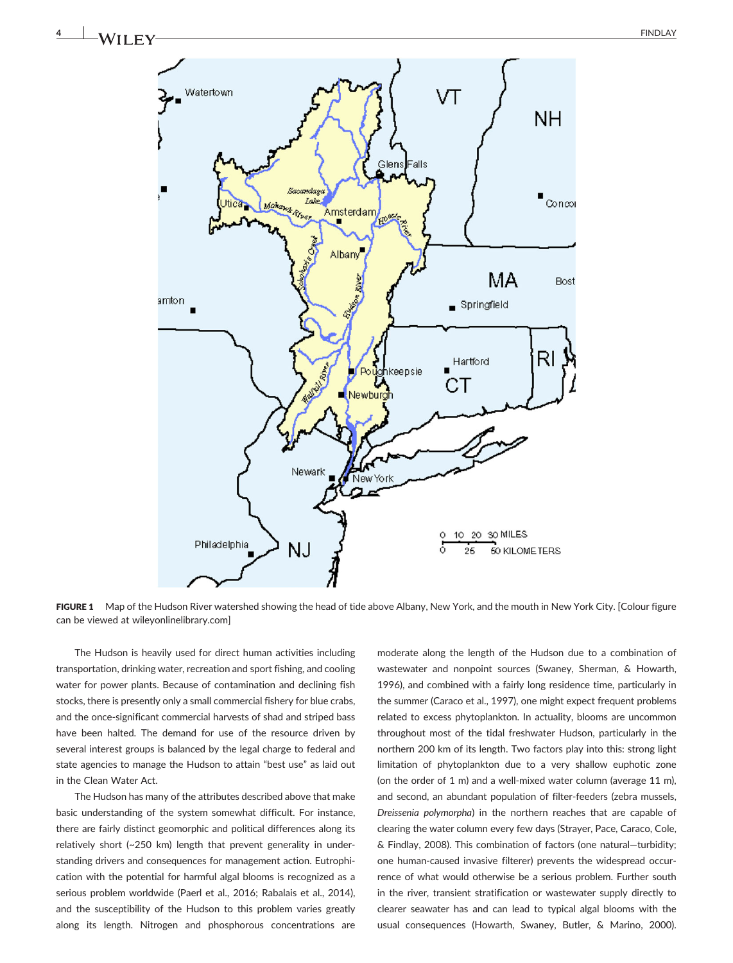4 WII FV



FIGURE 1 Map of the Hudson River watershed showing the head of tide above Albany, New York, and the mouth in New York City. [Colour figure can be viewed at [wileyonlinelibrary.com](http://wileyonlinelibrary.com)]

The Hudson is heavily used for direct human activities including transportation, drinking water, recreation and sport fishing, and cooling water for power plants. Because of contamination and declining fish stocks, there is presently only a small commercial fishery for blue crabs, and the once‐significant commercial harvests of shad and striped bass have been halted. The demand for use of the resource driven by several interest groups is balanced by the legal charge to federal and state agencies to manage the Hudson to attain "best use" as laid out in the Clean Water Act.

The Hudson has many of the attributes described above that make basic understanding of the system somewhat difficult. For instance, there are fairly distinct geomorphic and political differences along its relatively short (~250 km) length that prevent generality in understanding drivers and consequences for management action. Eutrophication with the potential for harmful algal blooms is recognized as a serious problem worldwide (Paerl et al., 2016; Rabalais et al., 2014), and the susceptibility of the Hudson to this problem varies greatly along its length. Nitrogen and phosphorous concentrations are

moderate along the length of the Hudson due to a combination of wastewater and nonpoint sources (Swaney, Sherman, & Howarth, 1996), and combined with a fairly long residence time, particularly in the summer (Caraco et al., 1997), one might expect frequent problems related to excess phytoplankton. In actuality, blooms are uncommon throughout most of the tidal freshwater Hudson, particularly in the northern 200 km of its length. Two factors play into this: strong light limitation of phytoplankton due to a very shallow euphotic zone (on the order of 1 m) and a well-mixed water column (average 11 m), and second, an abundant population of filter-feeders (zebra mussels, Dreissenia polymorpha) in the northern reaches that are capable of clearing the water column every few days (Strayer, Pace, Caraco, Cole, & Findlay, 2008). This combination of factors (one natural—turbidity; one human‐caused invasive filterer) prevents the widespread occurrence of what would otherwise be a serious problem. Further south in the river, transient stratification or wastewater supply directly to clearer seawater has and can lead to typical algal blooms with the usual consequences (Howarth, Swaney, Butler, & Marino, 2000).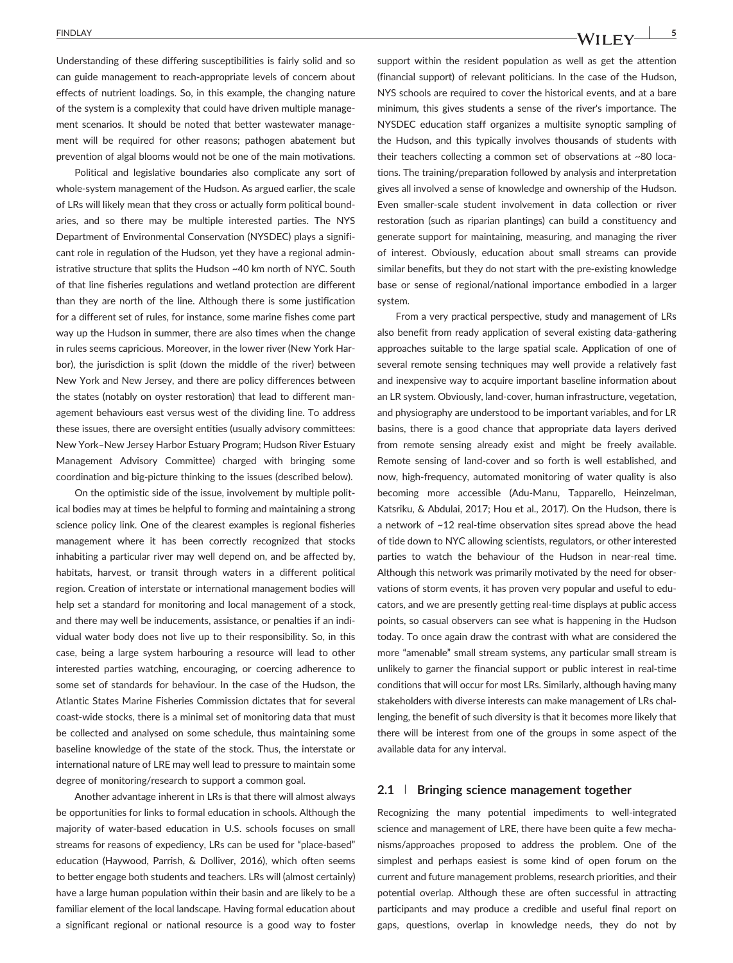#### FINDLAY **SALES AND A SET AND A SET AND A SET AND A SET AND A SET AND A SET AND A SET AND A SET AND A SET AND A SET AND A SET AND A SET AND A SET AND A SET AND A SET AND A SET AND A SET AND A SET AND A SET AND A SET AND A S**

Understanding of these differing susceptibilities is fairly solid and so can guide management to reach‐appropriate levels of concern about effects of nutrient loadings. So, in this example, the changing nature of the system is a complexity that could have driven multiple management scenarios. It should be noted that better wastewater management will be required for other reasons; pathogen abatement but prevention of algal blooms would not be one of the main motivations.

Political and legislative boundaries also complicate any sort of whole‐system management of the Hudson. As argued earlier, the scale of LRs will likely mean that they cross or actually form political boundaries, and so there may be multiple interested parties. The NYS Department of Environmental Conservation (NYSDEC) plays a significant role in regulation of the Hudson, yet they have a regional administrative structure that splits the Hudson ~40 km north of NYC. South of that line fisheries regulations and wetland protection are different than they are north of the line. Although there is some justification for a different set of rules, for instance, some marine fishes come part way up the Hudson in summer, there are also times when the change in rules seems capricious. Moreover, in the lower river (New York Harbor), the jurisdiction is split (down the middle of the river) between New York and New Jersey, and there are policy differences between the states (notably on oyster restoration) that lead to different management behaviours east versus west of the dividing line. To address these issues, there are oversight entities (usually advisory committees: New York–New Jersey Harbor Estuary Program; Hudson River Estuary Management Advisory Committee) charged with bringing some coordination and big‐picture thinking to the issues (described below).

On the optimistic side of the issue, involvement by multiple political bodies may at times be helpful to forming and maintaining a strong science policy link. One of the clearest examples is regional fisheries management where it has been correctly recognized that stocks inhabiting a particular river may well depend on, and be affected by, habitats, harvest, or transit through waters in a different political region. Creation of interstate or international management bodies will help set a standard for monitoring and local management of a stock, and there may well be inducements, assistance, or penalties if an individual water body does not live up to their responsibility. So, in this case, being a large system harbouring a resource will lead to other interested parties watching, encouraging, or coercing adherence to some set of standards for behaviour. In the case of the Hudson, the Atlantic States Marine Fisheries Commission dictates that for several coast-wide stocks, there is a minimal set of monitoring data that must be collected and analysed on some schedule, thus maintaining some baseline knowledge of the state of the stock. Thus, the interstate or international nature of LRE may well lead to pressure to maintain some degree of monitoring/research to support a common goal.

Another advantage inherent in LRs is that there will almost always be opportunities for links to formal education in schools. Although the majority of water‐based education in U.S. schools focuses on small streams for reasons of expediency, LRs can be used for "place‐based" education (Haywood, Parrish, & Dolliver, 2016), which often seems to better engage both students and teachers. LRs will (almost certainly) have a large human population within their basin and are likely to be a familiar element of the local landscape. Having formal education about a significant regional or national resource is a good way to foster support within the resident population as well as get the attention (financial support) of relevant politicians. In the case of the Hudson, NYS schools are required to cover the historical events, and at a bare minimum, this gives students a sense of the river's importance. The NYSDEC education staff organizes a multisite synoptic sampling of the Hudson, and this typically involves thousands of students with their teachers collecting a common set of observations at ~80 locations. The training/preparation followed by analysis and interpretation gives all involved a sense of knowledge and ownership of the Hudson. Even smaller‐scale student involvement in data collection or river restoration (such as riparian plantings) can build a constituency and generate support for maintaining, measuring, and managing the river of interest. Obviously, education about small streams can provide similar benefits, but they do not start with the pre‐existing knowledge base or sense of regional/national importance embodied in a larger system.

From a very practical perspective, study and management of LRs also benefit from ready application of several existing data‐gathering approaches suitable to the large spatial scale. Application of one of several remote sensing techniques may well provide a relatively fast and inexpensive way to acquire important baseline information about an LR system. Obviously, land‐cover, human infrastructure, vegetation, and physiography are understood to be important variables, and for LR basins, there is a good chance that appropriate data layers derived from remote sensing already exist and might be freely available. Remote sensing of land‐cover and so forth is well established, and now, high-frequency, automated monitoring of water quality is also becoming more accessible (Adu‐Manu, Tapparello, Heinzelman, Katsriku, & Abdulai, 2017; Hou et al., 2017). On the Hudson, there is a network of ~12 real-time observation sites spread above the head of tide down to NYC allowing scientists, regulators, or other interested parties to watch the behaviour of the Hudson in near-real time. Although this network was primarily motivated by the need for observations of storm events, it has proven very popular and useful to educators, and we are presently getting real‐time displays at public access points, so casual observers can see what is happening in the Hudson today. To once again draw the contrast with what are considered the more "amenable" small stream systems, any particular small stream is unlikely to garner the financial support or public interest in real‐time conditions that will occur for most LRs. Similarly, although having many stakeholders with diverse interests can make management of LRs challenging, the benefit of such diversity is that it becomes more likely that there will be interest from one of the groups in some aspect of the available data for any interval.

## 2.1 | Bringing science management together

Recognizing the many potential impediments to well-integrated science and management of LRE, there have been quite a few mechanisms/approaches proposed to address the problem. One of the simplest and perhaps easiest is some kind of open forum on the current and future management problems, research priorities, and their potential overlap. Although these are often successful in attracting participants and may produce a credible and useful final report on gaps, questions, overlap in knowledge needs, they do not by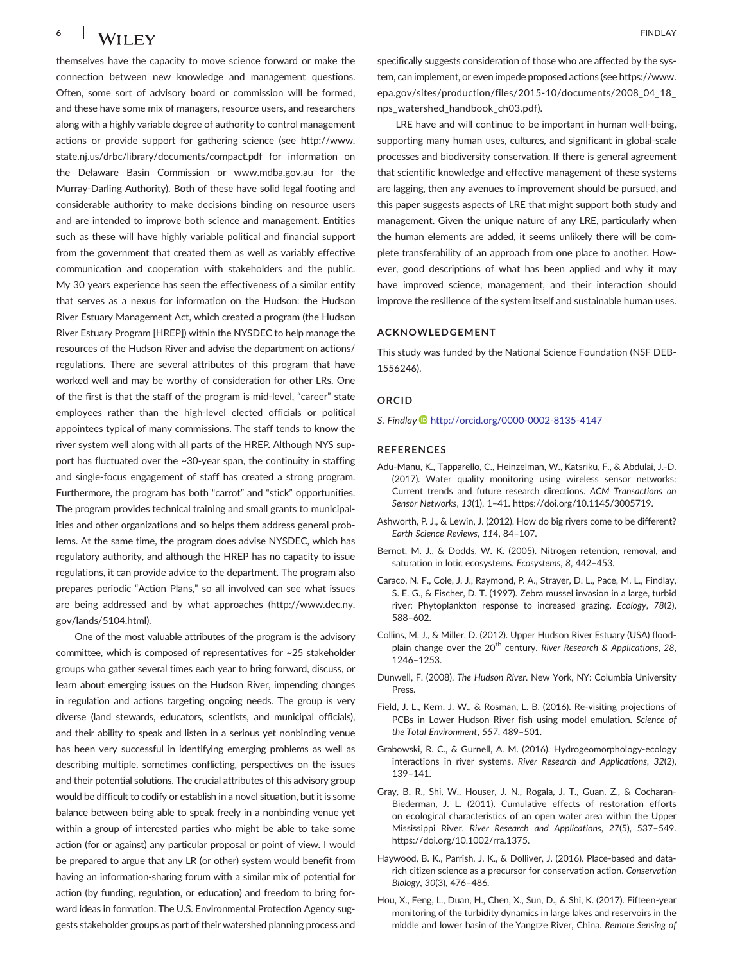themselves have the capacity to move science forward or make the connection between new knowledge and management questions. Often, some sort of advisory board or commission will be formed, and these have some mix of managers, resource users, and researchers along with a highly variable degree of authority to control management actions or provide support for gathering science (see [http://www.](http://www.state.nj.us/drbc/library/documents/compact.pdf) [state.nj.us/drbc/library/documents/compact.pdf](http://www.state.nj.us/drbc/library/documents/compact.pdf) for information on the Delaware Basin Commission or [www.mdba.gov.au](http://www.mdba.gov.au) for the Murray‐Darling Authority). Both of these have solid legal footing and considerable authority to make decisions binding on resource users and are intended to improve both science and management. Entities such as these will have highly variable political and financial support from the government that created them as well as variably effective communication and cooperation with stakeholders and the public. My 30 years experience has seen the effectiveness of a similar entity that serves as a nexus for information on the Hudson: the Hudson River Estuary Management Act, which created a program (the Hudson River Estuary Program [HREP]) within the NYSDEC to help manage the resources of the Hudson River and advise the department on actions/ regulations. There are several attributes of this program that have worked well and may be worthy of consideration for other LRs. One of the first is that the staff of the program is mid‐level, "career" state employees rather than the high‐level elected officials or political appointees typical of many commissions. The staff tends to know the river system well along with all parts of the HREP. Although NYS support has fluctuated over the ~30‐year span, the continuity in staffing and single‐focus engagement of staff has created a strong program. Furthermore, the program has both "carrot" and "stick" opportunities. The program provides technical training and small grants to municipalities and other organizations and so helps them address general problems. At the same time, the program does advise NYSDEC, which has regulatory authority, and although the HREP has no capacity to issue regulations, it can provide advice to the department. The program also prepares periodic "Action Plans," so all involved can see what issues are being addressed and by what approaches [\(http://www.dec.ny.](http://www.dec.ny.gov/lands/5104.html) [gov/lands/5104.html](http://www.dec.ny.gov/lands/5104.html)).

One of the most valuable attributes of the program is the advisory committee, which is composed of representatives for ~25 stakeholder groups who gather several times each year to bring forward, discuss, or learn about emerging issues on the Hudson River, impending changes in regulation and actions targeting ongoing needs. The group is very diverse (land stewards, educators, scientists, and municipal officials), and their ability to speak and listen in a serious yet nonbinding venue has been very successful in identifying emerging problems as well as describing multiple, sometimes conflicting, perspectives on the issues and their potential solutions. The crucial attributes of this advisory group would be difficult to codify or establish in a novel situation, but it is some balance between being able to speak freely in a nonbinding venue yet within a group of interested parties who might be able to take some action (for or against) any particular proposal or point of view. I would be prepared to argue that any LR (or other) system would benefit from having an information‐sharing forum with a similar mix of potential for action (by funding, regulation, or education) and freedom to bring forward ideas in formation. The U.S. Environmental Protection Agency suggests stakeholder groups as part of their watershed planning process and

specifically suggests consideration of those who are affected by the system, can implement, or even impede proposed actions (see [https://www.](https://www.epa.gov/sites/production/files/2015-10/documents/2008_04_18_nps_watershed_handbook_ch03.pdf) [epa.gov/sites/production/files/2015](https://www.epa.gov/sites/production/files/2015-10/documents/2008_04_18_nps_watershed_handbook_ch03.pdf)‐10/documents/2008\_04\_18\_ [nps\\_watershed\\_handbook\\_ch03.pdf\)](https://www.epa.gov/sites/production/files/2015-10/documents/2008_04_18_nps_watershed_handbook_ch03.pdf).

LRE have and will continue to be important in human well-being, supporting many human uses, cultures, and significant in global-scale processes and biodiversity conservation. If there is general agreement that scientific knowledge and effective management of these systems are lagging, then any avenues to improvement should be pursued, and this paper suggests aspects of LRE that might support both study and management. Given the unique nature of any LRE, particularly when the human elements are added, it seems unlikely there will be complete transferability of an approach from one place to another. However, good descriptions of what has been applied and why it may have improved science, management, and their interaction should improve the resilience of the system itself and sustainable human uses.

### ACKNOWLEDGEMENT

This study was funded by the National Science Foundation (NSF DEB‐ 1556246).

### ORCID

S. Findlay <http://orcid.org/0000-0002-8135-4147>

## REFERENCES

- Adu‐Manu, K., Tapparello, C., Heinzelman, W., Katsriku, F., & Abdulai, J.‐D. (2017). Water quality monitoring using wireless sensor networks: Current trends and future research directions. ACM Transactions on Sensor Networks, 13(1), 1–41.<https://doi.org/10.1145/3005719>.
- Ashworth, P. J., & Lewin, J. (2012). How do big rivers come to be different? Earth Science Reviews, 114, 84–107.
- Bernot, M. J., & Dodds, W. K. (2005). Nitrogen retention, removal, and saturation in lotic ecosystems. Ecosystems, 8, 442–453.
- Caraco, N. F., Cole, J. J., Raymond, P. A., Strayer, D. L., Pace, M. L., Findlay, S. E. G., & Fischer, D. T. (1997). Zebra mussel invasion in a large, turbid river: Phytoplankton response to increased grazing. Ecology, 78(2), 588–602.
- Collins, M. J., & Miller, D. (2012). Upper Hudson River Estuary (USA) floodplain change over the 20<sup>th</sup> century. River Research & Applications, 28, 1246–1253.
- Dunwell, F. (2008). The Hudson River. New York, NY: Columbia University Press.
- Field, J. L., Kern, J. W., & Rosman, L. B. (2016). Re‐visiting projections of PCBs in Lower Hudson River fish using model emulation. Science of the Total Environment, 557, 489–501.
- Grabowski, R. C., & Gurnell, A. M. (2016). Hydrogeomorphology‐ecology interactions in river systems. River Research and Applications, 32(2), 139–141.
- Gray, B. R., Shi, W., Houser, J. N., Rogala, J. T., Guan, Z., & Cocharan‐ Biederman, J. L. (2011). Cumulative effects of restoration efforts on ecological characteristics of an open water area within the Upper Mississippi River. River Research and Applications, 27(5), 537–549. [https://doi.org/10.1002/rra.1375.](https://doi.org/10.1002/rra.1375)
- Haywood, B. K., Parrish, J. K., & Dolliver, J. (2016). Place-based and datarich citizen science as a precursor for conservation action. Conservation Biology, 30(3), 476–486.
- Hou, X., Feng, L., Duan, H., Chen, X., Sun, D., & Shi, K. (2017). Fifteen‐year monitoring of the turbidity dynamics in large lakes and reservoirs in the middle and lower basin of the Yangtze River, China. Remote Sensing of